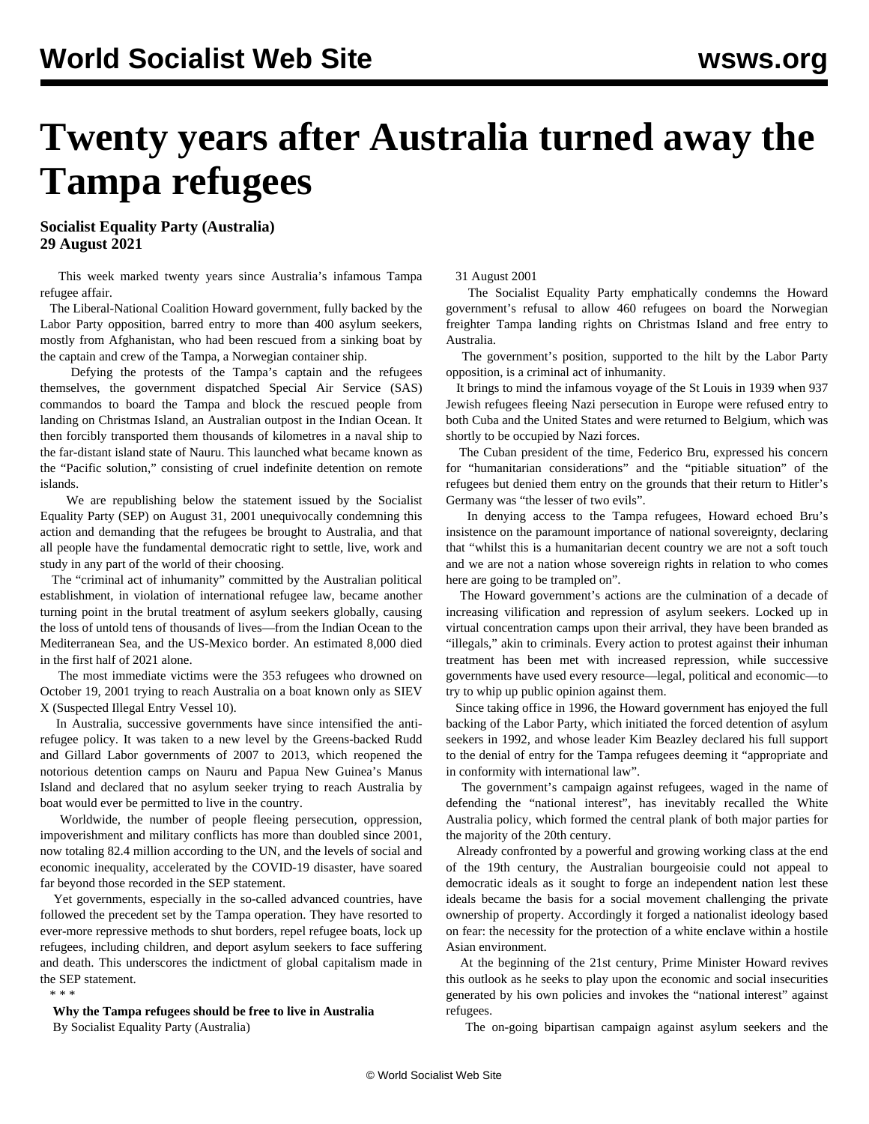## **Twenty years after Australia turned away the Tampa refugees**

**Socialist Equality Party (Australia) 29 August 2021**

 This week marked twenty years since Australia's infamous Tampa refugee affair.

 The Liberal-National Coalition Howard government, fully backed by the Labor Party opposition, barred entry to more than 400 asylum seekers, mostly from Afghanistan, who had been rescued from a sinking boat by the captain and crew of the Tampa, a Norwegian container ship.

 Defying the protests of the Tampa's captain and the refugees themselves, the government dispatched Special Air Service (SAS) commandos to board the Tampa and block the rescued people from landing on Christmas Island, an Australian outpost in the Indian Ocean. It then forcibly transported them thousands of kilometres in a naval ship to the far-distant island state of Nauru. This launched what became known as the "Pacific solution," consisting of cruel indefinite detention on remote islands.

 We are republishing below [the statement](/en/articles/2001/08/sep-a31.html) issued by the Socialist Equality Party (SEP) on August 31, 2001 unequivocally condemning this action and demanding that the refugees be brought to Australia, and that all people have the fundamental democratic right to settle, live, work and study in any part of the world of their choosing.

 The "criminal act of inhumanity" committed by the Australian political establishment, in violation of international refugee law, became another turning point in the brutal treatment of asylum seekers globally, causing the loss of untold tens of thousands of lives—from the Indian Ocean to the Mediterranean Sea, and the US-Mexico border. An estimated 8,000 died in the first half of 2021 alone.

 The most immediate victims were the 353 refugees who [drowned](/en/articles/2011/10/siev-o31.html) on October 19, 2001 trying to reach Australia on a boat known only as SIEV X (Suspected Illegal Entry Vessel 10).

 In Australia, successive governments have since intensified the antirefugee policy. It was taken to a new level by the Greens-backed Rudd and Gillard Labor governments of 2007 to 2013, which reopened the notorious detention camps on Nauru and Papua New Guinea's Manus Island and declared that no asylum seeker trying to reach Australia by boat would ever be permitted to live in the country.

 Worldwide, the number of people fleeing persecution, oppression, impoverishment and military conflicts has more than doubled since 2001, now totaling 82.4 million according to the UN, and the levels of social and economic inequality, accelerated by the COVID-19 disaster, have soared far beyond those recorded in the SEP statement.

 Yet governments, especially in the so-called advanced countries, have followed the precedent set by the Tampa operation. They have resorted to ever-more repressive methods to shut borders, repel refugee boats, lock up refugees, including children, and deport asylum seekers to face suffering and death. This underscores the indictment of global capitalism made in the SEP statement. \* \* \*

 **Why the Tampa refugees should be free to live in Australia** By Socialist Equality Party (Australia)

## 31 August 2001

 The Socialist Equality Party emphatically condemns the Howard government's refusal to allow 460 refugees on board the Norwegian freighter Tampa landing rights on Christmas Island and free entry to Australia.

 The government's position, supported to the hilt by the Labor Party opposition, is a criminal act of inhumanity.

 It brings to mind the infamous voyage of the St Louis in 1939 when 937 Jewish refugees fleeing Nazi persecution in Europe were refused entry to both Cuba and the United States and were returned to Belgium, which was shortly to be occupied by Nazi forces.

 The Cuban president of the time, Federico Bru, expressed his concern for "humanitarian considerations" and the "pitiable situation" of the refugees but denied them entry on the grounds that their return to Hitler's Germany was "the lesser of two evils".

 In denying access to the Tampa refugees, Howard echoed Bru's insistence on the paramount importance of national sovereignty, declaring that "whilst this is a humanitarian decent country we are not a soft touch and we are not a nation whose sovereign rights in relation to who comes here are going to be trampled on".

 The Howard government's actions are the culmination of a decade of increasing vilification and repression of asylum seekers. Locked up in virtual concentration camps upon their arrival, they have been branded as "illegals," akin to criminals. Every action to protest against their inhuman treatment has been met with increased repression, while successive governments have used every resource—legal, political and economic—to try to whip up public opinion against them.

 Since taking office in 1996, the Howard government has enjoyed the full backing of the Labor Party, which initiated the forced detention of asylum seekers in 1992, and whose leader Kim Beazley declared his full support to the denial of entry for the Tampa refugees deeming it "appropriate and in conformity with international law".

 The government's campaign against refugees, waged in the name of defending the "national interest", has inevitably recalled the White Australia policy, which formed the central plank of both major parties for the majority of the 20th century.

 Already confronted by a powerful and growing working class at the end of the 19th century, the Australian bourgeoisie could not appeal to democratic ideals as it sought to forge an independent nation lest these ideals became the basis for a social movement challenging the private ownership of property. Accordingly it forged a nationalist ideology based on fear: the necessity for the protection of a white enclave within a hostile Asian environment.

 At the beginning of the 21st century, Prime Minister Howard revives this outlook as he seeks to play upon the economic and social insecurities generated by his own policies and invokes the "national interest" against refugees.

The on-going bipartisan campaign against asylum seekers and the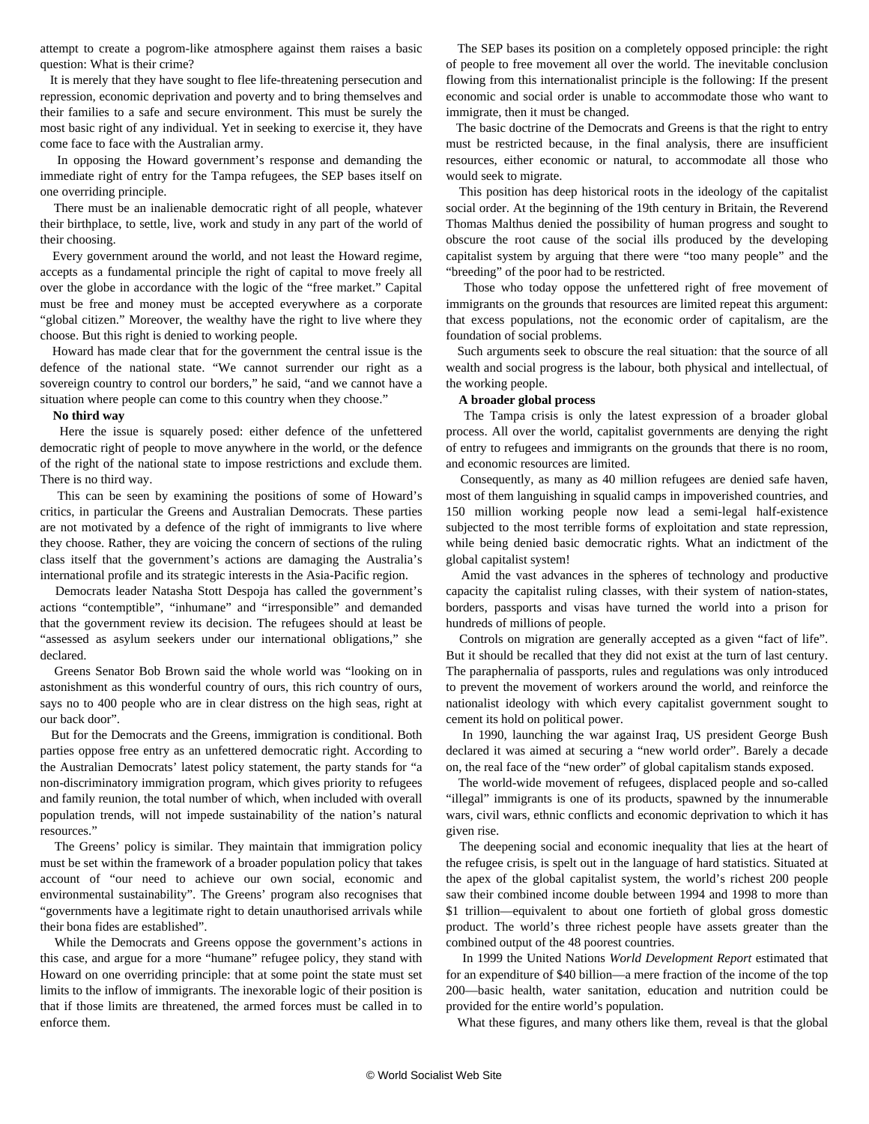attempt to create a pogrom-like atmosphere against them raises a basic question: What is their crime?

 It is merely that they have sought to flee life-threatening persecution and repression, economic deprivation and poverty and to bring themselves and their families to a safe and secure environment. This must be surely the most basic right of any individual. Yet in seeking to exercise it, they have come face to face with the Australian army.

 In opposing the Howard government's response and demanding the immediate right of entry for the Tampa refugees, the SEP bases itself on one overriding principle.

 There must be an inalienable democratic right of all people, whatever their birthplace, to settle, live, work and study in any part of the world of their choosing.

 Every government around the world, and not least the Howard regime, accepts as a fundamental principle the right of capital to move freely all over the globe in accordance with the logic of the "free market." Capital must be free and money must be accepted everywhere as a corporate "global citizen." Moreover, the wealthy have the right to live where they choose. But this right is denied to working people.

 Howard has made clear that for the government the central issue is the defence of the national state. "We cannot surrender our right as a sovereign country to control our borders," he said, "and we cannot have a situation where people can come to this country when they choose."

## **No third way**

 Here the issue is squarely posed: either defence of the unfettered democratic right of people to move anywhere in the world, or the defence of the right of the national state to impose restrictions and exclude them. There is no third way.

 This can be seen by examining the positions of some of Howard's critics, in particular the Greens and Australian Democrats. These parties are not motivated by a defence of the right of immigrants to live where they choose. Rather, they are voicing the concern of sections of the ruling class itself that the government's actions are damaging the Australia's international profile and its strategic interests in the Asia-Pacific region.

 Democrats leader Natasha Stott Despoja has called the government's actions "contemptible", "inhumane" and "irresponsible" and demanded that the government review its decision. The refugees should at least be "assessed as asylum seekers under our international obligations," she declared.

 Greens Senator Bob Brown said the whole world was "looking on in astonishment as this wonderful country of ours, this rich country of ours, says no to 400 people who are in clear distress on the high seas, right at our back door".

 But for the Democrats and the Greens, immigration is conditional. Both parties oppose free entry as an unfettered democratic right. According to the Australian Democrats' latest policy statement, the party stands for "a non-discriminatory immigration program, which gives priority to refugees and family reunion, the total number of which, when included with overall population trends, will not impede sustainability of the nation's natural resources."

 The Greens' policy is similar. They maintain that immigration policy must be set within the framework of a broader population policy that takes account of "our need to achieve our own social, economic and environmental sustainability". The Greens' program also recognises that "governments have a legitimate right to detain unauthorised arrivals while their bona fides are established".

 While the Democrats and Greens oppose the government's actions in this case, and argue for a more "humane" refugee policy, they stand with Howard on one overriding principle: that at some point the state must set limits to the inflow of immigrants. The inexorable logic of their position is that if those limits are threatened, the armed forces must be called in to enforce them.

 The SEP bases its position on a completely opposed principle: the right of people to free movement all over the world. The inevitable conclusion flowing from this internationalist principle is the following: If the present economic and social order is unable to accommodate those who want to immigrate, then it must be changed.

 The basic doctrine of the Democrats and Greens is that the right to entry must be restricted because, in the final analysis, there are insufficient resources, either economic or natural, to accommodate all those who would seek to migrate.

 This position has deep historical roots in the ideology of the capitalist social order. At the beginning of the 19th century in Britain, the Reverend Thomas Malthus denied the possibility of human progress and sought to obscure the root cause of the social ills produced by the developing capitalist system by arguing that there were "too many people" and the "breeding" of the poor had to be restricted.

 Those who today oppose the unfettered right of free movement of immigrants on the grounds that resources are limited repeat this argument: that excess populations, not the economic order of capitalism, are the foundation of social problems.

 Such arguments seek to obscure the real situation: that the source of all wealth and social progress is the labour, both physical and intellectual, of the working people.

## **A broader global process**

 The Tampa crisis is only the latest expression of a broader global process. All over the world, capitalist governments are denying the right of entry to refugees and immigrants on the grounds that there is no room, and economic resources are limited.

 Consequently, as many as 40 million refugees are denied safe haven, most of them languishing in squalid camps in impoverished countries, and 150 million working people now lead a semi-legal half-existence subjected to the most terrible forms of exploitation and state repression, while being denied basic democratic rights. What an indictment of the global capitalist system!

 Amid the vast advances in the spheres of technology and productive capacity the capitalist ruling classes, with their system of nation-states, borders, passports and visas have turned the world into a prison for hundreds of millions of people.

 Controls on migration are generally accepted as a given "fact of life". But it should be recalled that they did not exist at the turn of last century. The paraphernalia of passports, rules and regulations was only introduced to prevent the movement of workers around the world, and reinforce the nationalist ideology with which every capitalist government sought to cement its hold on political power.

 In 1990, launching the war against Iraq, US president George Bush declared it was aimed at securing a "new world order". Barely a decade on, the real face of the "new order" of global capitalism stands exposed.

 The world-wide movement of refugees, displaced people and so-called "illegal" immigrants is one of its products, spawned by the innumerable wars, civil wars, ethnic conflicts and economic deprivation to which it has given rise.

 The deepening social and economic inequality that lies at the heart of the refugee crisis, is spelt out in the language of hard statistics. Situated at the apex of the global capitalist system, the world's richest 200 people saw their combined income double between 1994 and 1998 to more than \$1 trillion—equivalent to about one fortieth of global gross domestic product. The world's three richest people have assets greater than the combined output of the 48 poorest countries.

 In 1999 the United Nations *World Development Report* estimated that for an expenditure of \$40 billion—a mere fraction of the income of the top 200—basic health, water sanitation, education and nutrition could be provided for the entire world's population.

What these figures, and many others like them, reveal is that the global